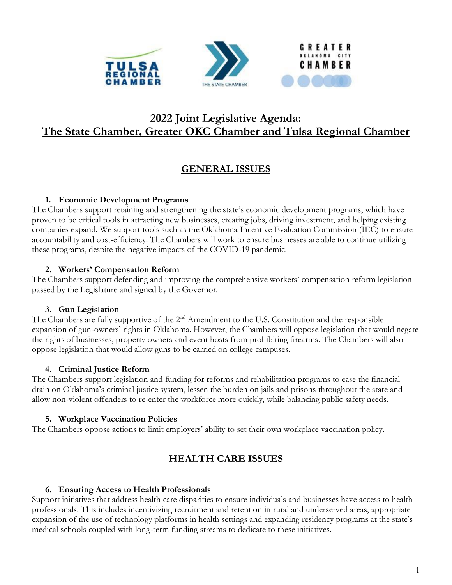



# **2022 Joint Legislative Agenda: The State Chamber, Greater OKC Chamber and Tulsa Regional Chamber**

# **GENERAL ISSUES**

### **1. Economic Development Programs**

The Chambers support retaining and strengthening the state's economic development programs, which have proven to be critical tools in attracting new businesses, creating jobs, driving investment, and helping existing companies expand. We support tools such as the Oklahoma Incentive Evaluation Commission (IEC) to ensure accountability and cost-efficiency. The Chambers will work to ensure businesses are able to continue utilizing these programs, despite the negative impacts of the COVID-19 pandemic.

### **2. Workers' Compensation Reform**

The Chambers support defending and improving the comprehensive workers' compensation reform legislation passed by the Legislature and signed by the Governor.

## **3. Gun Legislation**

The Chambers are fully supportive of the 2<sup>nd</sup> Amendment to the U.S. Constitution and the responsible expansion of gun-owners' rights in Oklahoma. However, the Chambers will oppose legislation that would negate the rights of businesses, property owners and event hosts from prohibiting firearms. The Chambers will also oppose legislation that would allow guns to be carried on college campuses.

## **4. Criminal Justice Reform**

The Chambers support legislation and funding for reforms and rehabilitation programs to ease the financial drain on Oklahoma's criminal justice system, lessen the burden on jails and prisons throughout the state and allow non-violent offenders to re-enter the workforce more quickly, while balancing public safety needs.

## **5. Workplace Vaccination Policies**

The Chambers oppose actions to limit employers' ability to set their own workplace vaccination policy.

# **HEALTH CARE ISSUES**

#### **6. Ensuring Access to Health Professionals**

Support initiatives that address health care disparities to ensure individuals and businesses have access to health professionals. This includes incentivizing recruitment and retention in rural and underserved areas, appropriate expansion of the use of technology platforms in health settings and expanding residency programs at the state's medical schools coupled with long-term funding streams to dedicate to these initiatives.